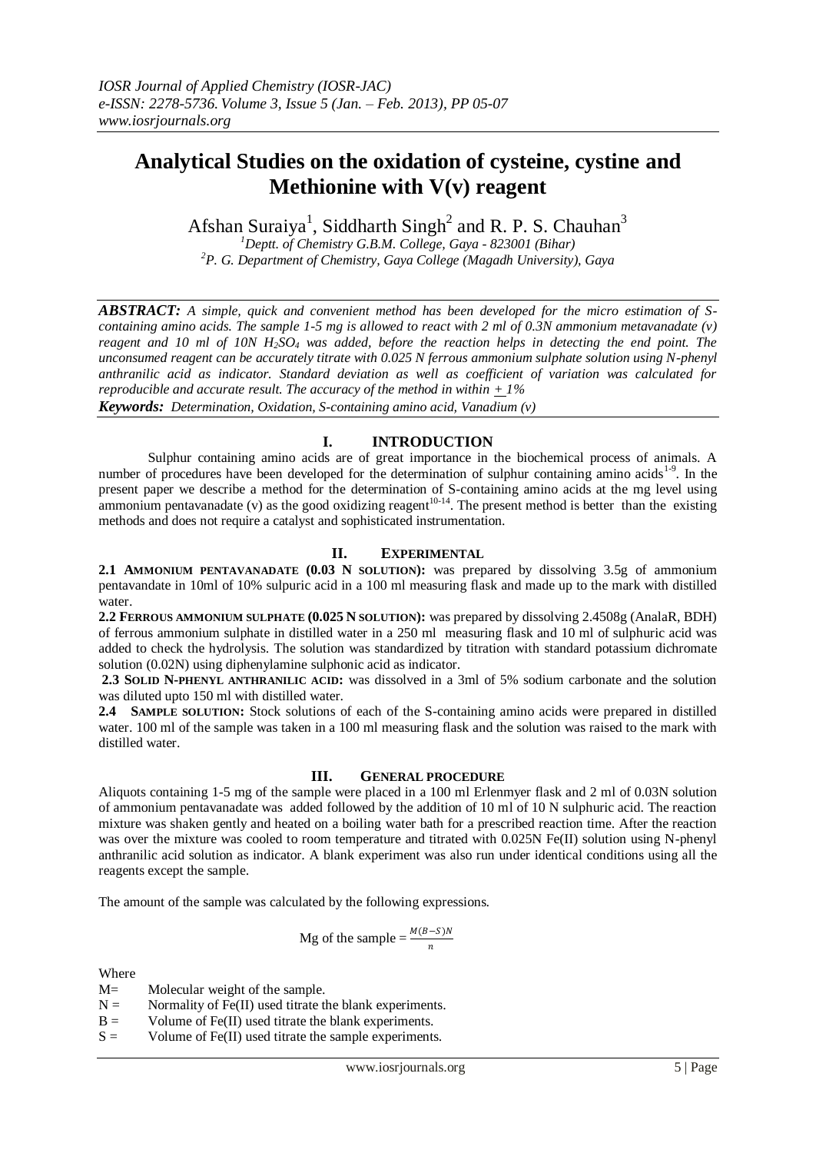# **Analytical Studies on the oxidation of cysteine, cystine and Methionine with V(v) reagent**

Afshan Suraiya<sup>1</sup>, Siddharth Singh<sup>2</sup> and R. P. S. Chauhan<sup>3</sup>

*<sup>1</sup>Deptt. of Chemistry G.B.M. College, Gaya - 823001 (Bihar) <sup>2</sup>P. G. Department of Chemistry, Gaya College (Magadh University), Gaya*

*ABSTRACT: A simple, quick and convenient method has been developed for the micro estimation of Scontaining amino acids. The sample 1-5 mg is allowed to react with 2 ml of 0.3N ammonium metavanadate (v) reagent and 10 ml of 10N H2SO<sup>4</sup> was added, before the reaction helps in detecting the end point. The unconsumed reagent can be accurately titrate with 0.025 N ferrous ammonium sulphate solution using N-phenyl anthranilic acid as indicator. Standard deviation as well as coefficient of variation was calculated for reproducible and accurate result. The accuracy of the method in within + 1% Keywords: Determination, Oxidation, S-containing amino acid, Vanadium (v)*

## **I. INTRODUCTION**

Sulphur containing amino acids are of great importance in the biochemical process of animals. A number of procedures have been developed for the determination of sulphur containing amino acids<sup>1-9</sup>. In the present paper we describe a method for the determination of S-containing amino acids at the mg level using ammonium pentavanadate (v) as the good oxidizing reagent<sup>10-14</sup>. The present method is better than the existing methods and does not require a catalyst and sophisticated instrumentation.

### **II. EXPERIMENTAL**

**2.1 AMMONIUM PENTAVANADATE (0.03 N SOLUTION):** was prepared by dissolving 3.5g of ammonium pentavandate in 10ml of 10% sulpuric acid in a 100 ml measuring flask and made up to the mark with distilled water.

**2.2 FERROUS AMMONIUM SULPHATE (0.025 N SOLUTION):** was prepared by dissolving 2.4508g (AnalaR, BDH) of ferrous ammonium sulphate in distilled water in a 250 ml measuring flask and 10 ml of sulphuric acid was added to check the hydrolysis. The solution was standardized by titration with standard potassium dichromate solution (0.02N) using diphenylamine sulphonic acid as indicator.

**2.3 SOLID N-PHENYL ANTHRANILIC ACID:** was dissolved in a 3ml of 5% sodium carbonate and the solution was diluted upto 150 ml with distilled water.

**2.4 SAMPLE SOLUTION:** Stock solutions of each of the S-containing amino acids were prepared in distilled water. 100 ml of the sample was taken in a 100 ml measuring flask and the solution was raised to the mark with distilled water.

#### **III. GENERAL PROCEDURE**

Aliquots containing 1-5 mg of the sample were placed in a 100 ml Erlenmyer flask and 2 ml of 0.03N solution of ammonium pentavanadate was added followed by the addition of 10 ml of 10 N sulphuric acid. The reaction mixture was shaken gently and heated on a boiling water bath for a prescribed reaction time. After the reaction was over the mixture was cooled to room temperature and titrated with 0.025N Fe(II) solution using N-phenyl anthranilic acid solution as indicator. A blank experiment was also run under identical conditions using all the reagents except the sample.

The amount of the sample was calculated by the following expressions.

Mg of the sample = 
$$
\frac{M(B-S)N}{n}
$$

Where

- M= Molecular weight of the sample.
- $N =$  Normality of Fe(II) used titrate the blank experiments.
- $B =$  Volume of Fe(II) used titrate the blank experiments.
- $S =$  Volume of Fe(II) used titrate the sample experiments.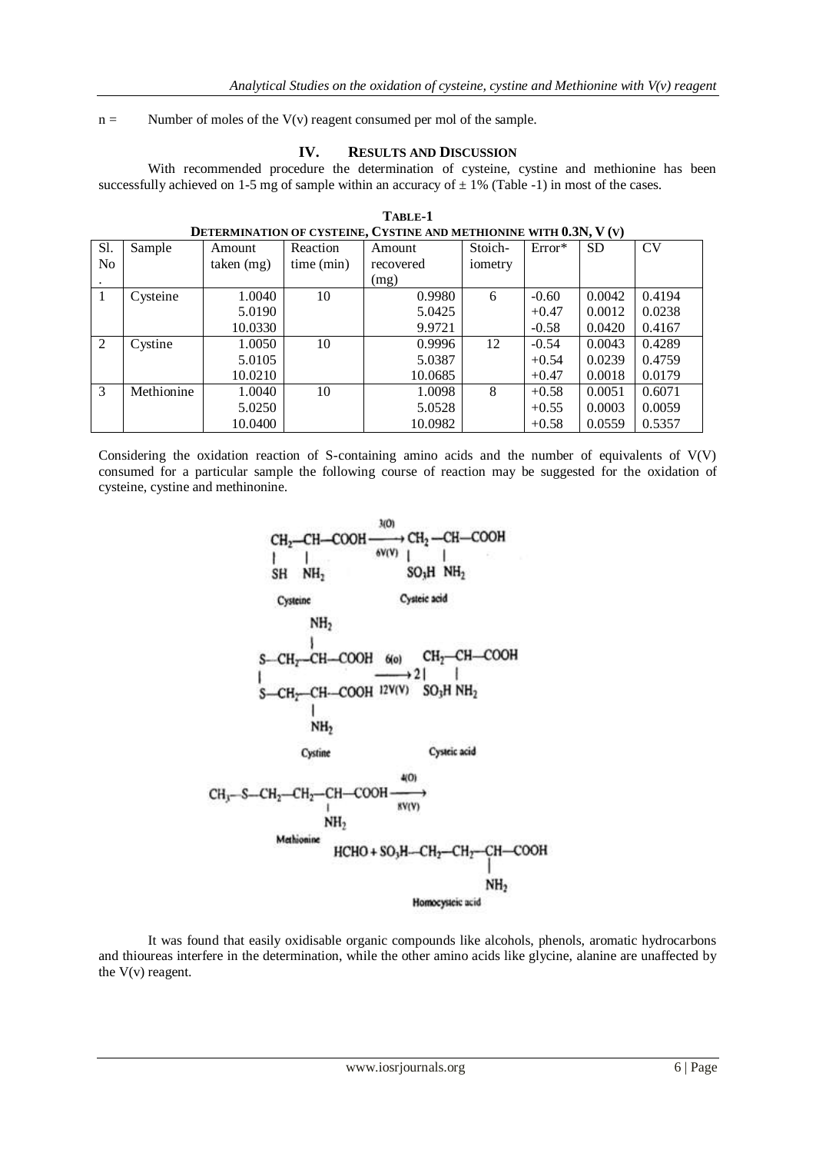$n =$  Number of moles of the V(v) reagent consumed per mol of the sample.

### **IV. RESULTS AND DISCUSSION**

With recommended procedure the determination of cysteine, cystine and methionine has been successfully achieved on 1-5 mg of sample within an accuracy of  $\pm$  1% (Table -1) in most of the cases.

| DETERMINATION OF CYSTEINE, CYSTINE AND METHIONINE WITH 0.3N, V (V) |            |            |            |           |         |          |           |           |
|--------------------------------------------------------------------|------------|------------|------------|-----------|---------|----------|-----------|-----------|
| Sl.                                                                | Sample     | Amount     | Reaction   | Amount    | Stoich- | $Error*$ | <b>SD</b> | <b>CV</b> |
| No                                                                 |            | taken (mg) | time (min) | recovered | iometry |          |           |           |
|                                                                    |            |            |            | (mg)      |         |          |           |           |
| $\mathbf{1}$                                                       | Cysteine   | 1.0040     | 10         | 0.9980    | 6       | $-0.60$  | 0.0042    | 0.4194    |
|                                                                    |            | 5.0190     |            | 5.0425    |         | $+0.47$  | 0.0012    | 0.0238    |
|                                                                    |            | 10.0330    |            | 9.9721    |         | $-0.58$  | 0.0420    | 0.4167    |
| 2                                                                  | Cystine    | 1.0050     | 10         | 0.9996    | 12      | $-0.54$  | 0.0043    | 0.4289    |
|                                                                    |            | 5.0105     |            | 5.0387    |         | $+0.54$  | 0.0239    | 0.4759    |
|                                                                    |            | 10.0210    |            | 10.0685   |         | $+0.47$  | 0.0018    | 0.0179    |
| 3                                                                  | Methionine | 1.0040     | 10         | 1.0098    | 8       | $+0.58$  | 0.0051    | 0.6071    |
|                                                                    |            | 5.0250     |            | 5.0528    |         | $+0.55$  | 0.0003    | 0.0059    |
|                                                                    |            | 10.0400    |            | 10.0982   |         | $+0.58$  | 0.0559    | 0.5357    |

| TABLE-1                                                            |
|--------------------------------------------------------------------|
| DETERMINATION OF CYSTEINE, CYSTINE AND METHIONINE WITH 0.3N, V (V) |

Considering the oxidation reaction of S-containing amino acids and the number of equivalents of V(V) consumed for a particular sample the following course of reaction may be suggested for the oxidation of cysteine, cystine and methinonine.



It was found that easily oxidisable organic compounds like alcohols, phenols, aromatic hydrocarbons and thioureas interfere in the determination, while the other amino acids like glycine, alanine are unaffected by the  $V(v)$  reagent.